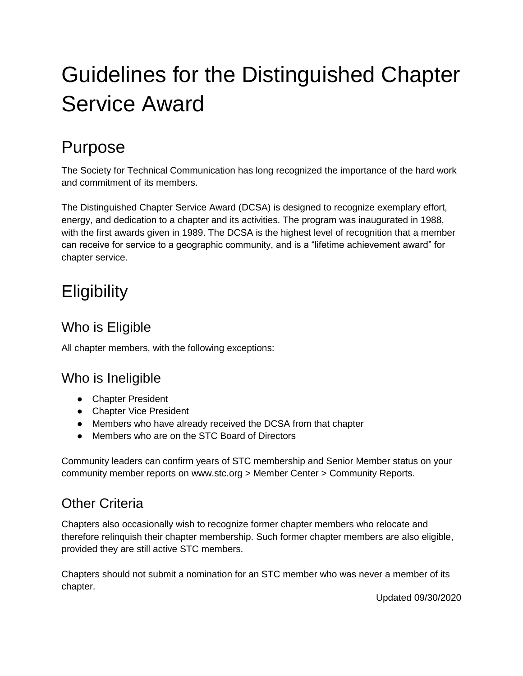# Guidelines for the Distinguished Chapter Service Award

### Purpose

The Society for Technical Communication has long recognized the importance of the hard work and commitment of its members.

The Distinguished Chapter Service Award (DCSA) is designed to recognize exemplary effort, energy, and dedication to a chapter and its activities. The program was inaugurated in 1988, with the first awards given in 1989. The DCSA is the highest level of recognition that a member can receive for service to a geographic community, and is a "lifetime achievement award" for chapter service.

# **Eligibility**

#### Who is Eligible

All chapter members, with the following exceptions:

#### Who is Ineligible

- Chapter President
- Chapter Vice President
- Members who have already received the DCSA from that chapter
- Members who are on the STC Board of Directors

Community leaders can confirm years of STC membership and Senior Member status on your community member reports on www.stc.org > Member Center > Community Reports.

#### Other Criteria

Chapters also occasionally wish to recognize former chapter members who relocate and therefore relinquish their chapter membership. Such former chapter members are also eligible, provided they are still active STC members.

Chapters should not submit a nomination for an STC member who was never a member of its chapter.

Updated 09/30/2020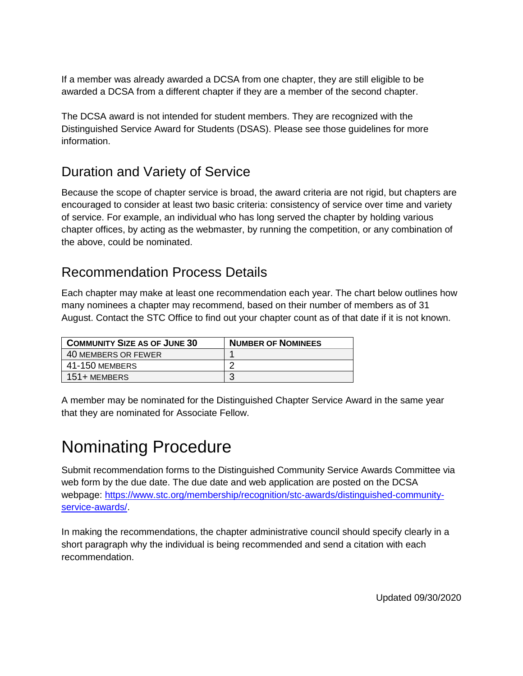If a member was already awarded a DCSA from one chapter, they are still eligible to be awarded a DCSA from a different chapter if they are a member of the second chapter.

The DCSA award is not intended for student members. They are recognized with the Distinguished Service Award for Students (DSAS). Please see those guidelines for more information.

#### Duration and Variety of Service

Because the scope of chapter service is broad, the award criteria are not rigid, but chapters are encouraged to consider at least two basic criteria: consistency of service over time and variety of service. For example, an individual who has long served the chapter by holding various chapter offices, by acting as the webmaster, by running the competition, or any combination of the above, could be nominated.

#### Recommendation Process Details

Each chapter may make at least one recommendation each year. The chart below outlines how many nominees a chapter may recommend, based on their number of members as of 31 August. Contact the STC Office to find out your chapter count as of that date if it is not known.

| <b>COMMUNITY SIZE AS OF JUNE 30</b> | <b>NUMBER OF NOMINEES</b> |
|-------------------------------------|---------------------------|
| 40 MEMBERS OR FEWER                 |                           |
| 41-150 MEMBERS                      |                           |
| 151+ MEMBERS                        |                           |

A member may be nominated for the Distinguished Chapter Service Award in the same year that they are nominated for Associate Fellow.

### Nominating Procedure

Submit recommendation forms to the Distinguished Community Service Awards Committee via web form by the due date. The due date and web application are posted on the DCSA webpage: [https://www.stc.org/membership/recognition/stc-awards/distinguished-community](https://www.stc.org/membership/recognition/stc-awards/distinguished-community-service-awards/)[service-awards/.](https://www.stc.org/membership/recognition/stc-awards/distinguished-community-service-awards/)

In making the recommendations, the chapter administrative council should specify clearly in a short paragraph why the individual is being recommended and send a citation with each recommendation.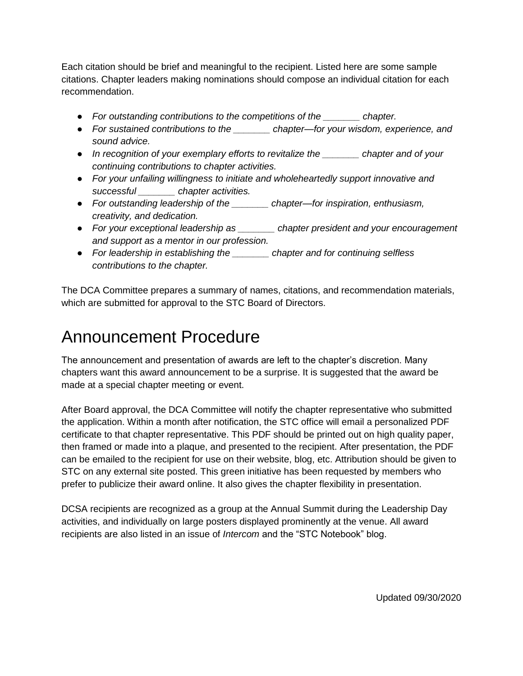Each citation should be brief and meaningful to the recipient. Listed here are some sample citations. Chapter leaders making nominations should compose an individual citation for each recommendation.

- *For outstanding contributions to the competitions of the \_\_\_\_\_\_\_ chapter.*
- *For sustained contributions to the \_\_\_\_\_\_\_ chapter—for your wisdom, experience, and sound advice.*
- *In recognition of your exemplary efforts to revitalize the \_\_\_\_\_\_\_ chapter and of your continuing contributions to chapter activities.*
- *For your unfailing willingness to initiate and wholeheartedly support innovative and successful \_\_\_\_\_\_\_ chapter activities.*
- *For outstanding leadership of the \_\_\_\_\_\_\_ chapter—for inspiration, enthusiasm, creativity, and dedication.*
- *For your exceptional leadership as \_\_\_\_\_\_\_ chapter president and your encouragement and support as a mentor in our profession.*
- *For leadership in establishing the \_\_\_\_\_\_\_ chapter and for continuing selfless contributions to the chapter.*

The DCA Committee prepares a summary of names, citations, and recommendation materials, which are submitted for approval to the STC Board of Directors.

### Announcement Procedure

The announcement and presentation of awards are left to the chapter's discretion. Many chapters want this award announcement to be a surprise. It is suggested that the award be made at a special chapter meeting or event.

After Board approval, the DCA Committee will notify the chapter representative who submitted the application. Within a month after notification, the STC office will email a personalized PDF certificate to that chapter representative. This PDF should be printed out on high quality paper, then framed or made into a plaque, and presented to the recipient. After presentation, the PDF can be emailed to the recipient for use on their website, blog, etc. Attribution should be given to STC on any external site posted. This green initiative has been requested by members who prefer to publicize their award online. It also gives the chapter flexibility in presentation.

DCSA recipients are recognized as a group at the Annual Summit during the Leadership Day activities, and individually on large posters displayed prominently at the venue. All award recipients are also listed in an issue of *Intercom* and the "STC Notebook" blog.